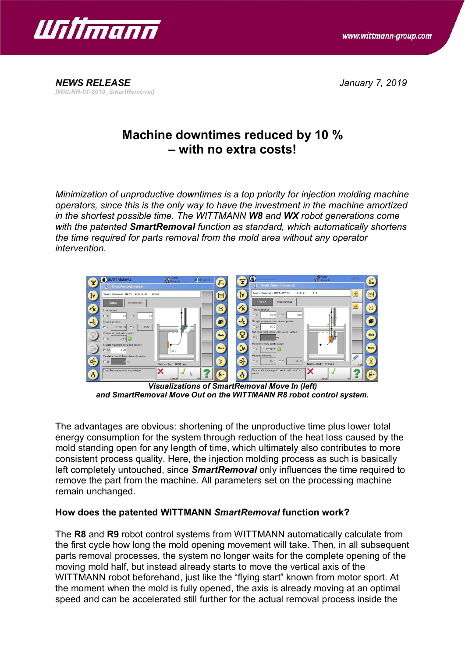

*[Witt-NR-01-2019\_SmartRemoval]*

*NEWS RELEASE January 7, 2019*

## **Machine downtimes reduced by 10 % – with no extra costs!**

*Minimization of unproductive downtimes is a top priority for injection molding machine operators, since this is the only way to have the investment in the machine amortized in the shortest possible time. The WITTMANN W8 and WX robot generations come with the patented SmartRemoval function as standard, which automatically shortens the time required for parts removal from the mold area without any operator intervention.*



*Visualizations of SmartRemoval Move In (left) and SmartRemoval Move Out on the WITTMANN R8 robot control system.*

The advantages are obvious: shortening of the unproductive time plus lower total energy consumption for the system through reduction of the heat loss caused by the mold standing open for any length of time, which ultimately also contributes to more consistent process quality. Here, the injection molding process as such is basically left completely untouched, since *SmartRemoval* only influences the time required to remove the part from the machine. All parameters set on the processing machine remain unchanged.

## **How does the patented WITTMANN** *SmartRemoval* **function work?**

The **R8** and **R9** robot control systems from WITTMANN automatically calculate from the first cycle how long the mold opening movement will take. Then, in all subsequent parts removal processes, the system no longer waits for the complete opening of the moving mold half, but instead already starts to move the vertical axis of the WITTMANN robot beforehand, just like the "flying start" known from motor sport. At the moment when the mold is fully opened, the axis is already moving at an optimal speed and can be accelerated still further for the actual removal process inside the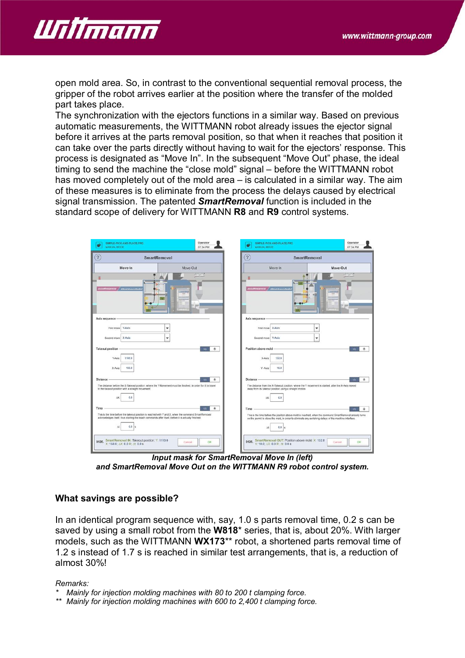

open mold area. So, in contrast to the conventional sequential removal process, the gripper of the robot arrives earlier at the position where the transfer of the molded part takes place.

The synchronization with the ejectors functions in a similar way. Based on previous automatic measurements, the WITTMANN robot already issues the ejector signal before it arrives at the parts removal position, so that when it reaches that position it can take over the parts directly without having to wait for the ejectors' response. This process is designated as "Move In". In the subsequent "Move Out" phase, the ideal timing to send the machine the "close mold" signal – before the WITTMANN robot has moved completely out of the mold area – is calculated in a similar way. The aim of these measures is to eliminate from the process the delays caused by electrical signal transmission. The patented *SmartRemoval* function is included in the standard scope of delivery for WITTMANN **R8** and **R9** control systems.

| SIMPLE-PICK-AND-PLACE.PRG<br>MANUAL MODE                                                                                                                                                                   | Operator<br>07:34 PM  | SIMPLE-PICK-AND-PLACE.PRG<br>MANUAL MODE                                                                                                                                                                         | Operator<br>07:34 PM |
|------------------------------------------------------------------------------------------------------------------------------------------------------------------------------------------------------------|-----------------------|------------------------------------------------------------------------------------------------------------------------------------------------------------------------------------------------------------------|----------------------|
| $\left( 2\right)$<br><b>SmartRemoval</b>                                                                                                                                                                   |                       | $\overline{?}$<br><b>SmartRemoval</b>                                                                                                                                                                            |                      |
| Move-In                                                                                                                                                                                                    | Move-Out              | Move-In                                                                                                                                                                                                          | Move-Out             |
|                                                                                                                                                                                                            |                       |                                                                                                                                                                                                                  |                      |
| UNITIANISTS   ENVERSIONAL                                                                                                                                                                                  |                       | UNIMARKA   ERSEKONTONIA                                                                                                                                                                                          |                      |
|                                                                                                                                                                                                            |                       |                                                                                                                                                                                                                  |                      |
| Axis sequence                                                                                                                                                                                              |                       | Axis sequence                                                                                                                                                                                                    |                      |
| Y-Aris<br>First move                                                                                                                                                                                       | ۷                     | First move<br>X-Axis                                                                                                                                                                                             | ۳                    |
| X-Axis<br>Second move                                                                                                                                                                                      | ٠                     | Y-Axis<br>Second move                                                                                                                                                                                            | ۰                    |
| <b>Takeout position</b>                                                                                                                                                                                    | $_{\odot}$<br>$+28$   | Position above mold                                                                                                                                                                                              | 123<br>$\circ$       |
| 1100.0<br>Y-Axis:                                                                                                                                                                                          |                       | 132.0<br>X-Axis                                                                                                                                                                                                  |                      |
| 150.0<br>X-Axis                                                                                                                                                                                            |                       | Y-Axis:<br>10.0                                                                                                                                                                                                  |                      |
|                                                                                                                                                                                                            |                       |                                                                                                                                                                                                                  |                      |
| <b>Distance</b>                                                                                                                                                                                            | $\circ$<br>125        | <b>Distance</b>                                                                                                                                                                                                  | 123<br>$\circ$       |
| The distance before the X-Takeout position, where the Y-Movement must be finsihed, in order for X to travel<br>to the takeout position with a straight movement.                                           |                       | The distance from the X-Takeout position, where the Y movement is started, after the X-Axis moved<br>away from its takeout position using a straight motion                                                      |                      |
| 0.0<br>$\Delta X$                                                                                                                                                                                          |                       | 0.0<br>AX                                                                                                                                                                                                        |                      |
| Time                                                                                                                                                                                                       | <b>Yat</b><br>$\circ$ | Time                                                                                                                                                                                                             | $+23$<br>O.          |
| This is the time before the takeout position is reached with Y and X, when the command SmartRemoval<br>acknowledges itself, thus starting the teach commands after itself, before it is actually finished. |                       | This is the time before the position above mold is reached, when the command SmartRemoval already turns<br>on the permit to close the mold, in order to eliminate any switching delays of the machine interface. |                      |
| 0.0 <sub>5</sub><br>Ab-                                                                                                                                                                                    |                       | 0.0 <sub>8</sub><br><b>At</b>                                                                                                                                                                                    |                      |
| 0126. SmartRemoval IN: Takeout position: Y: 1110.0<br>X: 150.0; AX: 0.0 R: At: 0.0 s                                                                                                                       | OK<br>Cancel          | 0126. SmartRemoval OUT: Position above mold: X 132.0<br>Y: 10.0; AX: 0.0 R: At: 0.0 s                                                                                                                            | OK<br>Cancel         |

*Input mask for SmartRemoval Move In (left) and SmartRemoval Move Out on the WITTMANN R9 robot control system.*

## **What savings are possible?**

In an identical program sequence with, say, 1.0 s parts removal time, 0.2 s can be saved by using a small robot from the **W818**\* series, that is, about 20%. With larger models, such as the WITTMANN **WX173**\*\* robot, a shortened parts removal time of 1.2 s instead of 1.7 s is reached in similar test arrangements, that is, a reduction of almost 30%!

*Remarks:*

- *\* Mainly for injection molding machines with 80 to 200 t clamping force.*
- *\*\* Mainly for injection molding machines with 600 to 2,400 t clamping force.*